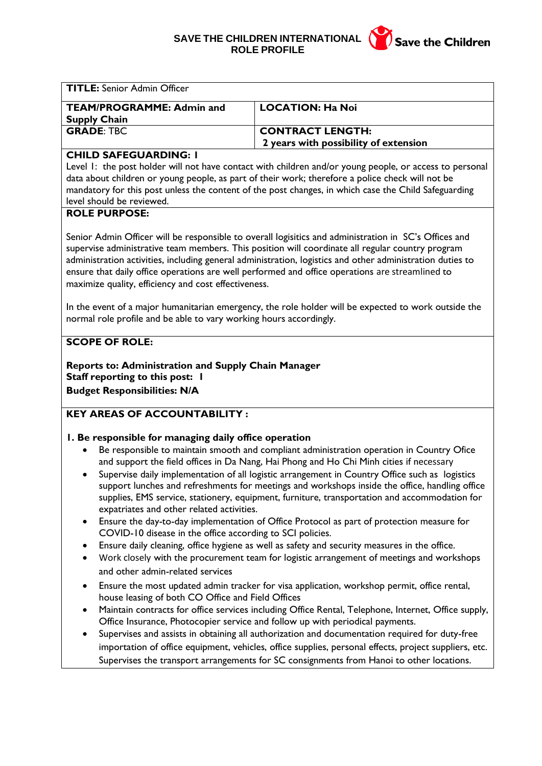## **SAVE THE CHILDREN INTERNATIONAL ROLE PROFILE**



| <b>TITLE:</b> Senior Admin Officer |                                       |
|------------------------------------|---------------------------------------|
| <b>TEAM/PROGRAMME: Admin and</b>   | <b>LOCATION: Ha Noi</b>               |
| <b>Supply Chain</b>                |                                       |
| <b>GRADE: TBC</b>                  | <b>CONTRACT LENGTH:</b>               |
|                                    | 2 years with possibility of extension |

## **CHILD SAFEGUARDING: 1**

Level 1: the post holder will not have contact with children and/or young people, or access to personal data about children or young people, as part of their work; therefore a police check will not be mandatory for this post unless the content of the post changes, in which case the Child Safeguarding level should be reviewed.

## **ROLE PURPOSE:**

Senior Admin Officer will be responsible to overall logisitics and administration in SC's Offices and supervise administrative team members. This position will coordinate all regular country program administration activities, including general administration, logistics and other administration duties to ensure that daily office operations are well performed and office operations are streamlined to maximize quality, efficiency and cost effectiveness.

In the event of a major humanitarian emergency, the role holder will be expected to work outside the normal role profile and be able to vary working hours accordingly.

## **SCOPE OF ROLE:**

**Reports to: Administration and Supply Chain Manager Staff reporting to this post: 1 Budget Responsibilities: N/A**

## **KEY AREAS OF ACCOUNTABILITY :**

## **1. Be responsible for managing daily office operation**

- Be responsible to maintain smooth and compliant administration operation in Country Ofice and support the field offices in Da Nang, Hai Phong and Ho Chi Minh cities if necessary
- Supervise daily implementation of all logistic arrangement in Country Office such as logistics support lunches and refreshments for meetings and workshops inside the office, handling office supplies, EMS service, stationery, equipment, furniture, transportation and accommodation for expatriates and other related activities.
- Ensure the day-to-day implementation of Office Protocol as part of protection measure for COVID-10 disease in the office according to SCI policies.
- Ensure daily cleaning, office hygiene as well as safety and security measures in the office.
- Work closely with the procurement team for logistic arrangement of meetings and workshops and other admin-related services
- Ensure the most updated admin tracker for visa application, workshop permit, office rental, house leasing of both CO Office and Field Offices
- Maintain contracts for office services including Office Rental, Telephone, Internet, Office supply, Office Insurance, Photocopier service and follow up with periodical payments.
- Supervises and assists in obtaining all authorization and documentation required for duty-free importation of office equipment, vehicles, office supplies, personal effects, project suppliers, etc. Supervises the transport arrangements for SC consignments from Hanoi to other locations.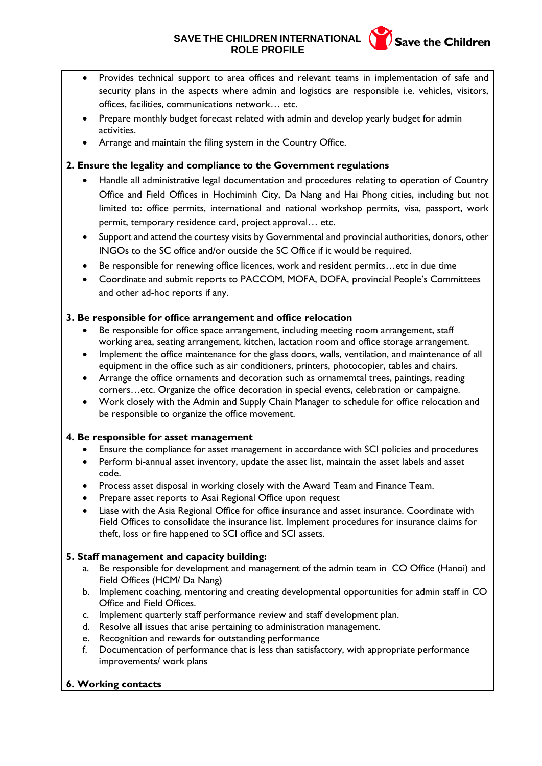## **SAVE THE CHILDREN INTERNATIONAL (Save the Children ROLE PROFILE**



- Provides technical support to area offices and relevant teams in implementation of safe and security plans in the aspects where admin and logistics are responsible i.e. vehicles, visitors, offices, facilities, communications network… etc.
- Prepare monthly budget forecast related with admin and develop yearly budget for admin activities.
- Arrange and maintain the filing system in the Country Office.

## **2. Ensure the legality and compliance to the Government regulations**

- Handle all administrative legal documentation and procedures relating to operation of Country Office and Field Offices in Hochiminh City, Da Nang and Hai Phong cities, including but not limited to: office permits, international and national workshop permits, visa, passport, work permit, temporary residence card, project approval… etc.
- Support and attend the courtesy visits by Governmental and provincial authorities, donors, other INGOs to the SC office and/or outside the SC Office if it would be required.
- Be responsible for renewing office licences, work and resident permits…etc in due time
- Coordinate and submit reports to PACCOM, MOFA, DOFA, provincial People's Committees and other ad-hoc reports if any.

## **3. Be responsible for office arrangement and office relocation**

- Be responsible for office space arrangement, including meeting room arrangement, staff working area, seating arrangement, kitchen, lactation room and office storage arrangement.
- Implement the office maintenance for the glass doors, walls, ventilation, and maintenance of all equipment in the office such as air conditioners, printers, photocopier, tables and chairs.
- Arrange the office ornaments and decoration such as ornamemtal trees, paintings, reading corners…etc. Organize the office decoration in special events, celebration or campaigne.
- Work closely with the Admin and Supply Chain Manager to schedule for office relocation and be responsible to organize the office movement.

## **4. Be responsible for asset management**

- Ensure the compliance for asset management in accordance with SCI policies and procedures
- Perform bi-annual asset inventory, update the asset list, maintain the asset labels and asset code.
- Process asset disposal in working closely with the Award Team and Finance Team.
- Prepare asset reports to Asai Regional Office upon request
- Liase with the Asia Regional Office for office insurance and asset insurance. Coordinate with Field Offices to consolidate the insurance list. Implement procedures for insurance claims for theft, loss or fire happened to SCI office and SCI assets.

## **5. Staff management and capacity building:**

- a. Be responsible for development and management of the admin team in CO Office (Hanoi) and Field Offices (HCM/ Da Nang)
- b. Implement coaching, mentoring and creating developmental opportunities for admin staff in CO Office and Field Offices.
- c. Implement quarterly staff performance review and staff development plan.
- d. Resolve all issues that arise pertaining to administration management.
- e. Recognition and rewards for outstanding performance
- f. Documentation of performance that is less than satisfactory, with appropriate performance improvements/ work plans

## **6. Working contacts**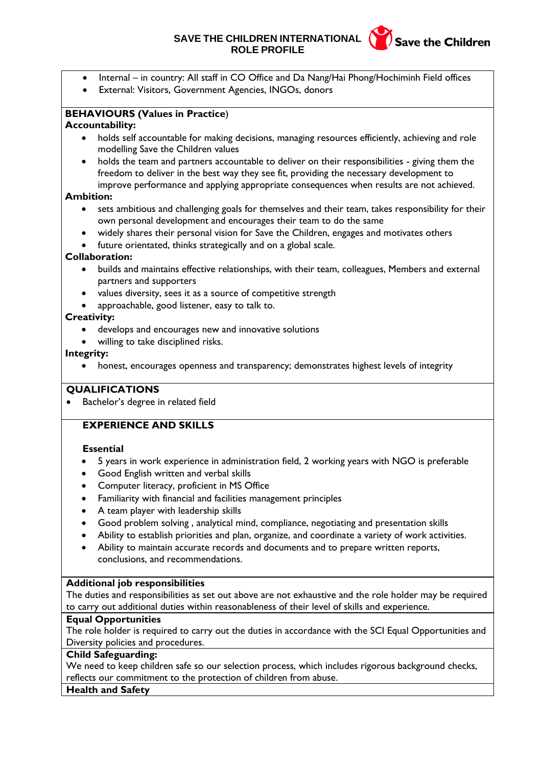## **SAVE THE CHILDREN INTERNATIONAL (Save the Children ROLE PROFILE**



- Internal in country: All staff in CO Office and Da Nang/Hai Phong/Hochiminh Field offices
- External: Visitors, Government Agencies, INGOs, donors

# **BEHAVIOURS (Values in Practice**)

## **Accountability:**

- holds self accountable for making decisions, managing resources efficiently, achieving and role modelling Save the Children values
- holds the team and partners accountable to deliver on their responsibilities giving them the freedom to deliver in the best way they see fit, providing the necessary development to improve performance and applying appropriate consequences when results are not achieved.

## **Ambition:**

- sets ambitious and challenging goals for themselves and their team, takes responsibility for their own personal development and encourages their team to do the same
- widely shares their personal vision for Save the Children, engages and motivates others
- future orientated, thinks strategically and on a global scale.

## **Collaboration:**

- builds and maintains effective relationships, with their team, colleagues, Members and external partners and supporters
- values diversity, sees it as a source of competitive strength
- approachable, good listener, easy to talk to.

## **Creativity:**

- develops and encourages new and innovative solutions
- willing to take disciplined risks.

## **Integrity:**

• honest, encourages openness and transparency; demonstrates highest levels of integrity

## **QUALIFICATIONS**

• Bachelor's degree in related field

## **EXPERIENCE AND SKILLS**

#### **Essential**

- 5 years in work experience in administration field, 2 working years with NGO is preferable
- Good English written and verbal skills
- Computer literacy, proficient in MS Office
- Familiarity with financial and facilities management principles
- A team player with leadership skills
- Good problem solving , analytical mind, compliance, negotiating and presentation skills
- Ability to establish priorities and plan, organize, and coordinate a variety of work activities.
- Ability to maintain accurate records and documents and to prepare written reports, conclusions, and recommendations.

## **Additional job responsibilities**

The duties and responsibilities as set out above are not exhaustive and the role holder may be required to carry out additional duties within reasonableness of their level of skills and experience.

#### **Equal Opportunities**

The role holder is required to carry out the duties in accordance with the SCI Equal Opportunities and Diversity policies and procedures.

#### **Child Safeguarding:**

We need to keep children safe so our selection process, which includes rigorous background checks, reflects our commitment to the protection of children from abuse.

#### **Health and Safety**